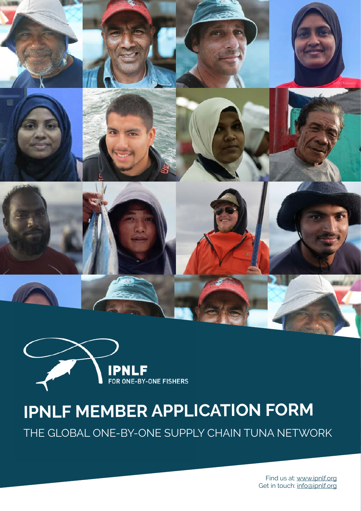



IPNLF MEMBER APPLICATION FOR MEMBER APPLICATION

# **IPNLF MEMBER APPLICATION FORM**

THE GLOBAL ONE-BY-ONE SUPPLY CHAIN TUNA NETWORK

Find us at: [www.ipnlf.org](http://www.ipnlf.org) Get in touch: [info@ipnlf.org](mailto:info%40ipnlf.org?subject=Member%20Application)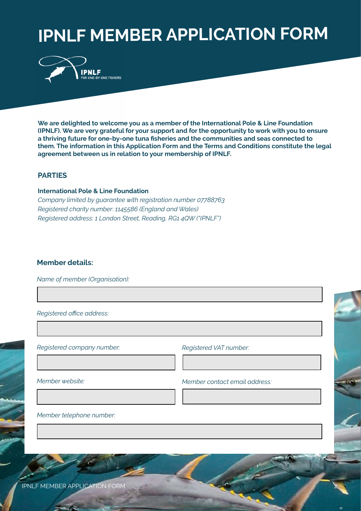# **IPNLF MEMBER APPLICATION FORM**



**We are delighted to welcome you as a member of the International Pole & Line Foundation (IPNLF). We are very grateful for your support and for the opportunity to work with you to ensure a thriving future for one-by-one tuna fisheries and the communities and seas connected to them. The information in this Application Form and the Terms and Conditions constitute the legal agreement between us in relation to your membership of IPNLF.**

## **PARTIES**

## **International Pole & Line Foundation**

*Company limited by guarantee with registration number 07788763 Registered charity number: 1145586 (England and Wales) Registered address: 1 London Street, Reading, RG1 4QW ("IPNLF")*

## **Member details:**

*Name of member (Organisation):*

*Registered office address:*

*Registered company number:*

*Registered VAT number:*

*Member website:* 

*Member contact email address:*

2

*Member telephone number:*

IPNLF MEMBER APPLICATION FORM IPNLF MEMBER APPLICATION FORM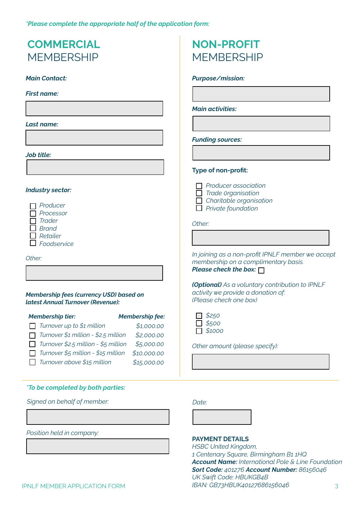*\*Please complete the appropriate half of the application form:*

## **COMMERCIAL MFMBFRSHIP**

## *Main Contact:*

*First name:*

## *Last name:*

## *Job title:*

## *Industry sector:*

*Producer Processor Trader Brand Retailer Foodservice*

### *Other:*

## *Membership fees (currency USD) based on latest Annual Turnover (Revenue):*

| <b>Membership tier:</b>                     | <b>Membership fee:</b> |
|---------------------------------------------|------------------------|
| $\Box$ Turnover up to \$1 million           | \$1,000.00             |
| $\Box$ Turnover \$1 million - \$2.5 million | \$2,000.00             |
| $\Box$ Turnover \$2.5 million - \$5 million | \$5,000.00             |
| $\Box$ Turnover \$5 million - \$15 million  | \$10,000.00            |
| $\Box$ Turnover above \$15 million          | \$15,000.00            |

## *\*To be completed by both parties:*

*Signed on behalf of member:*

*Position held in company:*

## **NON-PROFIT MFMBFRSHIP**

## *Purpose/mission:*

*Main activities:*

### *Funding sources:*

## **Type of non-profit:**

*Producer association Trade 0rganisation Charitable organisation*

*Private foundation*

*Other:*

*In joining as a non-profit IPNLF member we accept membership on a complimentary basis. Please check the box:*

*(Optional) As a voluntary contribution to IPNLF activity we provide a donation of: (Please check one box)*

| $\Box$ | \$250        |
|--------|--------------|
|        | $\Box$ \$500 |
|        | 51000        |

*Other amount (please specify):*

### *Date:*

## **PAYMENT DETAILS**

*HSBC United Kingdom, 1 Centenary Square, Birmingham B1 1HQ Account Name: International Pole & Line Foundation Sort Code: 401276 Account Number: 86156046 UK Swift Code: HBUKGB4B IBAN: GB73HBUK40127686156046* 3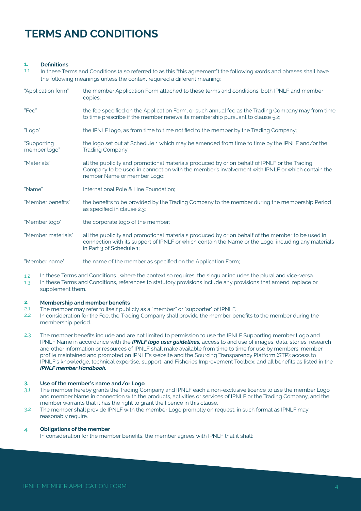## **TERMS AND CONDITIONS**

#### **Definitions 1.**

- In these Terms and Conditions (also referred to as this "this agreement") the following words and phrases shall have the following meanings unless the context required a different meaning: 1.1
- the member Application Form attached to these terms and conditions, both IPNLF and member copies; the fee specified on the Application Form, or such annual fee as the Trading Company may from time to time prescribe if the member renews its membership pursuant to clause 5.2; the IPNLF logo, as from time to time notified to the member by the Trading Company; the logo set out at Schedule 1 which may be amended from time to time by the IPNLF and/or the Trading Company; all the publicity and promotional materials produced by or on behalf of IPNLF or the Trading Company to be used in connection with the member's involvement with IPNLF or which contain the nember Name or member Logo; International Pole & Line Foundation; the benefits to be provided by the Trading Company to the member during the membership Period as specified in clause 2.3; the corporate logo of the member; all the publicity and promotional materials produced by or on behalf of the member to be used in "Application form"  $"F\rho\alpha"$ "Logo" "Supporting member logo" "Materials" "Name" "Member benefits" "Member logo" "Member materials"
- connection with its support of IPNLF or which contain the Name or the Logo, including any materials in Part 3 of Schedule 1;

the name of the member as specified on the Application Form; "Member name"

- 1.2 In these Terms and Conditions , where the context so requires, the singular includes the plural and vice-versa.
- 1.3 In these Terms and Conditions, references to statutory provisions include any provisions that amend, replace or supplement them.

#### **2. Membership and member benefits**

- $2.1$ The member may refer to itself publicly as a "member" or "supporter" of IPNLF.
- 2.2 In consideration for the Fee, the Trading Company shall provide the member benefits to the member during the membership period.
- 2.3 The member benefits include and are not limited to permission to use the IPNLF Supporting member Logo and IPNLF Name in accordance with the *IPNLF logo user guidelines,* access to and use of images, data, stories, research and other information or resources of IPNLF shall make available from time to time for use by members; member profile maintained and promoted on IPNLF's website and the Sourcing Transparency Platform (STP); access to IPNLF's knowledge, technical expertise, support, and Fisheries Improvement Toolbox; and all benefits as listed in the *[IPNLF member Hand](https://drive.google.com/file/d/1nJAyJFSyQVuEgYxkFep6bKNp5H3_pacH/view)book.*

#### **Use of the member's name and/or Logo 3.**

- The member hereby grants the Trading Company and IPNLF each a non-exclusive licence to use the member Logo and member Name in connection with the products, activities or services of IPNLF or the Trading Company, and the member warrants that it has the right to grant the licence in this clause. 3.1
- The member shall provide IPNLF with the member Logo promptly on request, in such format as IPNLF may reasonably require. 3.2

#### **Obligations of the member 4.**

In consideration for the member benefits, the member agrees with IPNLF that it shall: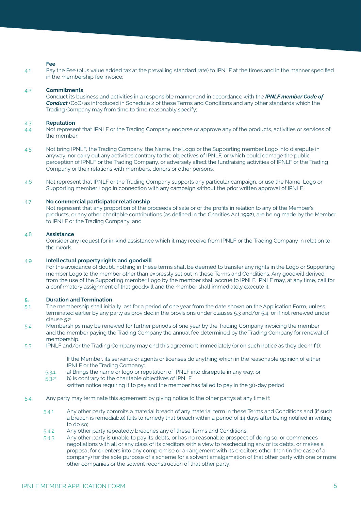## **Fee**

Pay the Fee (plus value added tax at the prevailing standard rate) to IPNLF at the times and in the manner specified in the membership fee invoice;  $\overline{11}$ 

#### **Commitments** 4.2

Conduct its business and activities in a responsible manner and in accordance with the *[IPNLF member Code of](http://www.fao.org/fishery/code/en)  Conduct* (CoC) as introduced in Schedule 2 of these Terms and Conditions and any other standards which the Trading Company may from time to time reasonably specify;

#### **Reputation** 4.3

- Not represent that IPNLF or the Trading Company endorse or approve any of the products, activities or services of the member; 4.4
- Not bring IPNLF, the Trading Company, the Name, the Logo or the Supporting member Logo into disrepute in anyway, nor carry out any activities contrary to the objectives of IPNLF, or which could damage the public perception of IPNLF or the Trading Company, or adversely affect the fundraising activities of IPNLF or the Trading Company or their relations with members, donors or other persons. 4.5
- Not represent that IPNLF or the Trading Company supports any particular campaign, or use the Name, Logo or Supporting member Logo in connection with any campaign without the prior written approval of IPNLF. 4.6

#### **No commercial participator relationship** 4.7

Not represent that any proportion of the proceeds of sale or of the profits in relation to any of the Member's products, or any other charitable contributions (as defined in the Charities Act 1992), are being made by the Member to IPNLF or the Trading Company; and

#### **Assistance** 4.8

Consider any request for in-kind assistance which it may receive from IPNLF or the Trading Company in relation to their work.

#### **Intellectual property rights and goodwill** 4.9

For the avoidance of doubt, nothing in these terms shall be deemed to transfer any rights in the Logo or Supporting member Logo to the member other than expressly set out in these Terms and Conditions. Any goodwill derived from the use of the Supporting member Logo by the member shall accrue to IPNLF. IPNLF may, at any time, call for a confirmatory assignment of that goodwill and the member shall immediately execute it.

#### **Duration and Termination 5.**

- The membership shall initially last for a period of one year from the date shown on the Application Form, unless terminated earlier by any party as provided in the provisions under clauses 5.3 and/or 5.4, or if not renewed under clause 5.2 5.1
- Memberships may be renewed for further periods of one year by the Trading Company invoicing the member and the member paying the Trading Company the annual fee determined by the Trading Company for renewal of membership. 5.2
- IPNLF and/or the Trading Company may end this agreement immediately (or on such notice as they deem fit): 5.3

If the Member, its servants or agents or licenses do anything which in the reasonable opinion of either IPNLF or the Trading Company:

- a) Brings the name or logo or reputation of IPNLF into disrepute in any way; or 5.3.1
- b) Is contrary to the charitable objectives of IPNLF; 5.3.2
- written notice requiring it to pay and the member has failed to pay in the 30-day period.
- Any party may terminate this agreement by giving notice to the other partys at any time if: 5.4
	- Any other party commits a material breach of any material term in these Terms and Conditions and (if such a breach is remediable) fails to remedy that breach within a period of 14 days after being notified in writing to do so; 5.4.1
	- Any other party repeatedly breaches any of these Terms and Conditions; 5.4.2
	- Any other party is unable to pay its debts, or has no reasonable prospect of doing so, or commences negotiations with all or any class of its creditors with a view to rescheduling any of its debts, or makes a proposal for or enters into any compromise or arrangement with its creditors other than (in the case of a company) for the sole purpose of a scheme for a solvent amalgamation of that other party with one or more other companies or the solvent reconstruction of that other party; 5.4.3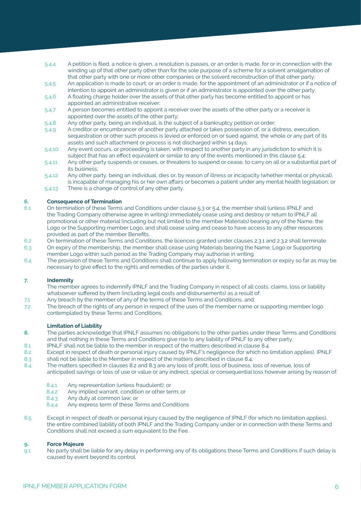- A petition is filed, a notice is given, a resolution is passes, or an order is made, for or in connection with the winding up of that other party other than for the sole purpose of a scheme for a solvent amalgamation of that other party with one or more other companies or the solvent reconstruction of that other party; 5.4.4
- An application is made to court, or an order is made, for the appointment of an administrator or if a notice of intention to appoint an administrator is given or if an administrator is appointed over the other party; 5.4.5
- A floating charge holder over the assets of that other party has become entitled to appoint or has appointed an administrative receiver; 5.4.6
- A person becomes entitled to appoint a receiver over the assets of the other party or a receiver is appointed over the assets of the other party; 5.4.7
- Any other party, being an individual, is the subject of a bankruptcy petition or order; 5.4.8
- A creditor or encumbrancer of another party attached or takes possession of, or a distress, execution, sequestration or other such process is levied or enforced on or sued against, the whole or any part of its assets and such attachment or process is not discharged within 14 days; 5.4.9
- Any event occurs, or proceeding is taken, with respect to another party in any jurisdiction to which it is subject that has an effect equivalent or similar to any of the events mentioned in this clause 5.4; 5.4.10
- Any other party suspends or ceases, or threatens to suspend or cease, to carry on all or a substantial part of its business; 5.4.11
- Any other party, being an individual, dies or, by reason of illness or incapacity (whether mental or physical), is incapable of managing his or her own affairs or becomes a patient under any mental health legislation; or 5.4.12
- There is a change of control of any other party. 5.4.13

#### **Consequence of Termination 6.**

- On termination of these Terms and Conditions under clause 5.3 or 5.4, the member shall (unless IPNLF and the Trading Company otherwise agree in writing) immediately cease using and destroy or return to IPNLF all promotional or other material (including but not limited to the member Materials) bearing any of the Name, the Logo or the Supporting member Logo, and shall cease using and cease to have access to any other resources provided as part of the member Benefits. 6.1
- On termination of these Terms and Conditions, the licences granted under clauses 2.3.1 and 2.3.2 shall terminate. 62
- On expiry of the membership, the member shall cease using Materials bearing the Name, Logo or Supporting member Logo within such period as the Trading Company may authorise in writing. 6.3
- The provision of these Terms and Conditions shall continue to apply following termination or expiry so far as may be necessary to give effect to the rights and remedies of the parties under it. 6.4

#### **Indemnity 7.**

- The member agrees to indemnify IPNLF and the Trading Company in respect of all costs, claims, loss or liability whatsoever suffered by them (including legal costs and disbursements) as a result of:
- Any breach by the member of any of the terms of these Terms and Conditions, and; 7.1
- The breach of the rights of any person in respect of the uses of the member name or supporting member logo contemplated by these Terms and Conditions. 7.2

### **Limitation of Liability**

- The parties acknowledge that IPNLF assumes no obligations to the other parties under these Terms and Conditions and that nothing in these Terms and Conditions give rise to any liability of IPNLF to any other party. **8.**
- IPNLF shall not be liable to the member in respect of the matters described in clause 8.4. 8.1
- Except in respect of death or personal injury caused by IPNLF's negligence (for which no limitation applies), IPNLF 8.2
- shall not be liable to the Member in respect of the matters described in clause 8.4. 8.3
- The matters specified in clauses 8.2 and 8.3 are any loss of profit, loss of business, loss of revenue, loss of anticipated savings or loss of use or value or any indirect, special or consequential loss however arising by reason of:8.4
	- Any representation (unless fraudulent); or 8.4.1
	- Any implied warrant, condition or other term; or 8.4.2
	- Any duty at common law; or 8.4.3
	- Any express term of these Terms and Conditions 8.4.4
- Except in respect of death or personal injury caused by the negligence of IPNLF (for which no limitation applies), the entire combined liability of both IPNLF and the Trading Company under or in connection with these Terms and Conditions shall not exceed a sum equivalent to the Fee. 8.5

#### **Force Majeure 9.**

No party shall be liable for any delay in performing any of its obligations these Terms and Conditions if such delay is caused by event beyond its control. 9.1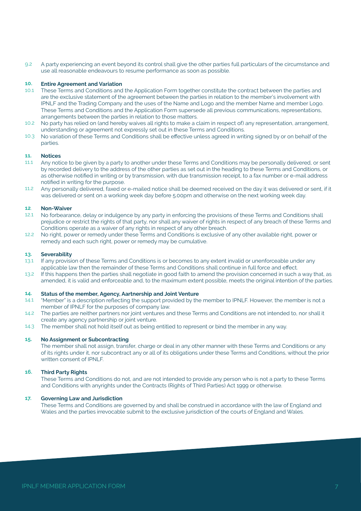9.2 A party experiencing an event beyond its control shall give the other parties full particulars of the circumstance and use all reasonable endeavours to resume performance as soon as possible.

#### **10. Entire Agreement and Variation**

- 10.1 These Terms and Conditions and the Application Form together constitute the contract between the parties and are the exclusive statement of the agreement between the parties in relation to the member's involvement with IPNLF and the Trading Company and the uses of the Name and Logo and the member Name and member Logo. These Terms and Conditions and the Application Form supersede all previous communications, representations, arrangements between the parties in relation to those matters.
- $10.2$ No party has relied on (and hereby waives all rights to make a claim in respect of) any representation, arrangement, understanding or agreement not expressly set out in these Terms and Conditions.
- 10.3 No variation of these Terms and Conditions shall be effective unless agreed in writing signed by or on behalf of the parties.

#### **11. Notices**

- 11.1 Any notice to be given by a party to another under these Terms and Conditions may be personally delivered, or sent by recorded delivery to the address of the other parties as set out in the heading to these Terms and Conditions, or as otherwise notified in writing or by transmission, with due transmission receipt, to a fax number or e-mail address notified in writing for the purpose.
- 11.2 Any personally delivered, faxed or e-mailed notice shall be deemed received on the day it was delivered or sent, if it was delivered or sent on a working week day before 5.00pm and otherwise on the next working week day.

#### **12**. **Non-Waiver**

- 12.1 No forbearance, delay or indulgence by any party in enforcing the provisions of these Terms and Conditions shall prejudice or restrict the rights of that party, nor shall any waiver of rights in respect of any breach of these Terms and Conditions operate as a waiver of any rights in respect of any other breach.
- $12.2$ No right, power or remedy under these Terms and Conditions is exclusive of any other available right, power or remedy and each such right, power or remedy may be cumulative.

#### **13. Severability**

- 13.1 If any provision of these Terms and Conditions is or becomes to any extent invalid or unenforceable under any applicable law then the remainder of these Terms and Conditions shall continue in full force and effect.
- 13.2 If this happens then the parties shall negotiate in good faith to amend the provision concerned in such a way that, as amended, it is valid and enforceable and, to the maximum extent possible, meets the original intention of the parties.

#### **14. Status of the member, Agency, Aartnership and Joint Venture**

- 14.1 "Member" is a description reflecting the support provided by the member to IPNLF. However, the member is not a member of IPNLF for the purposes of company law.
- 14.2 The parties are neither partners nor joint ventures and these Terms and Conditions are not intended to, nor shall it create any agency partnership or joint venture.
- 14.3 The member shall not hold itself out as being entitled to represent or bind the member in any way.

#### **15. No Assignment or Subcontracting**

The member shall not assign, transfer, charge or deal in any other manner with these Terms and Conditions or any of its rights under it, nor subcontract any or all of its obligations under these Terms and Conditions, without the prior written consent of IPNLF.

#### **16. Third Party Rights**

These Terms and Conditions do not, and are not intended to provide any person who is not a party to these Terms and Conditions with anyrights under the Contracts (Rights of Third Parties) Act 1999 or otherwise.

#### **17. Governing Law and Jurisdiction**

These Terms and Conditions are governed by and shall be construed in accordance with the law of England and Wales and the parties irrevocable submit to the exclusive jurisdiction of the courts of England and Wales.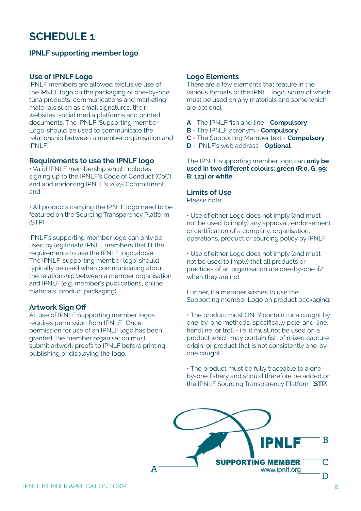## **SCHEDULE 1**

## **IPNLF supporting member logo**

## **Use of IPNLF Logo**

IPNLF members are allowed exclusive use of the IPNLF logo on the packaging of one-by-one tuna products, communications and marketing materials such as email signatures, their websites, social media platforms and printed documents. The IPNLF 'Supporting member Logo' should be used to communicate the relationship between a member organisation and IPNLF.

## **Requirements to use the IPNLF logo**

• Valid IPNLF membership which includes signing up to the IPNLF's Code of Conduct (CoC) and and endorsing IPNLF's 2025 Commitment, and

• All products carrying the IPNLF logo need to be featured on the Sourcing Transparency Platform (STP).

IPNLF's supporting member logo can only be used by legitimate IPNLF members that fit the requirements to use the IPNLF logo above. The IPNLF 'supporting member logo' should typically be used when communicating about the relationship between a member organisation and IPNLF (e.g. member's publications, online materials, product packaging).

## **Artwork Sign Off**

All use of IPNLF Supporting member logos requires permission from IPNLF. Once permission for use of an IPNLF logo has been granted, the member organisation must submit artwork proofs to IPNLF before printing, publishing or displaying the logo.

## **Logo Elements**

There are a few elements that feature in the various formats of the IPNLF logo, some of which must be used on any materials and some which are optional.

- **A** The IPNLF fish and line **Compulsory**
- **B** The IPNLF acronym **Compulsory**
- **C** The Supporting Member text **Compulsory**
- **D** IPNLF's web address **Optional**

The IPNLF supporting member logo can **only be used in two different colours: green (R:0, G: 99: B: 123) or white.**

## **Limits of Use**

Please note:

• Use of either Logo does not imply (and must not be used to imply) any approval, endorsement or certification of a company, organisation, operations, product or sourcing policy by IPNLF.

• Use of either Logo does not imply (and must not be used to imply) that all products or practices of an organisation are one-by-one if/ when they are not.

Further, if a member wishes to use the Supporting member Logo on product packaging:

• The product must ONLY contain tuna caught by one-by-one methods, specifically pole-and-line, handline, or troll - i.e. it must not be used on a product which may contain fish of mixed capture origin, or product that is not consistently one-byone caught.

• The product must be fully traceable to a oneby-one fishery and should therefore be added on the IPNLF Sourcing Transparency Platform (**STP**).

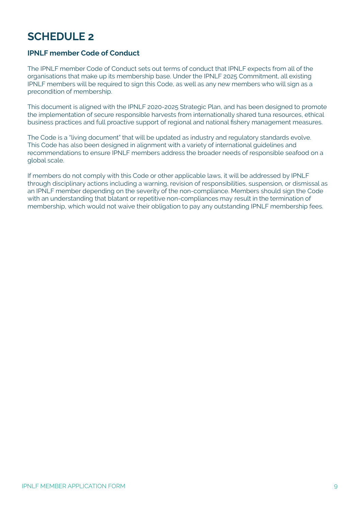## **SCHEDULE 2**

## **IPNLF member Code of Conduct**

The IPNLF member Code of Conduct sets out terms of conduct that IPNLF expects from all of the organisations that make up its membership base. Under the IPNLF 2025 Commitment, all existing IPNLF members will be required to sign this Code, as well as any new members who will sign as a precondition of membership.

This document is aligned with the IPNLF 2020-2025 Strategic Plan, and has been designed to promote the implementation of secure responsible harvests from internationally shared tuna resources, ethical business practices and full proactive support of regional and national fishery management measures.

The Code is a "living document" that will be updated as industry and regulatory standards evolve. This Code has also been designed in alignment with a variety of international guidelines and recommendations to ensure IPNLF members address the broader needs of responsible seafood on a global scale.

If members do not comply with this Code or other applicable laws, it will be addressed by IPNLF through disciplinary actions including a warning, revision of responsibilities, suspension, or dismissal as an IPNLF member depending on the severity of the non-compliance. Members should sign the Code with an understanding that blatant or repetitive non-compliances may result in the termination of membership, which would not waive their obligation to pay any outstanding IPNLF membership fees.